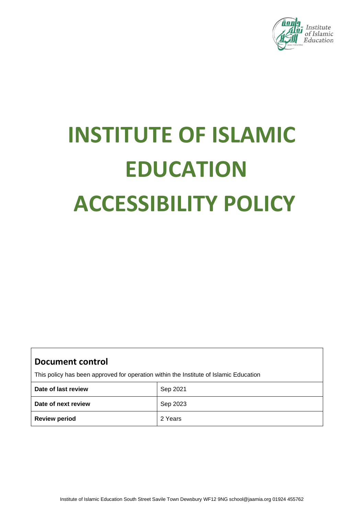

# **INSTITUTE OF ISLAMIC EDUCATION ACCESSIBILITY POLICY**

# **Document control**

This policy has been approved for operation within the Institute of Islamic Education

| Date of last review  | Sep 2021 |
|----------------------|----------|
| Date of next review  | Sep 2023 |
| <b>Review period</b> | 2 Years  |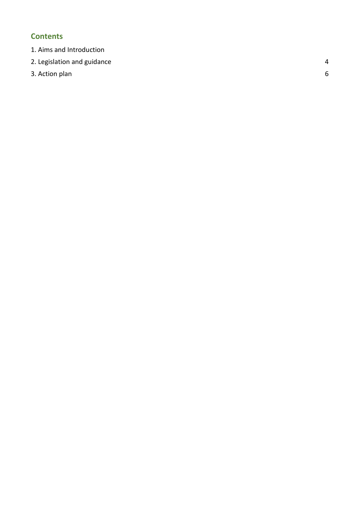# **Contents**

- [1. Aims and Introduction](#page-1-0)
- [2. Legislation and guidance](#page-3-0)
- <span id="page-1-0"></span>3. Action plan

4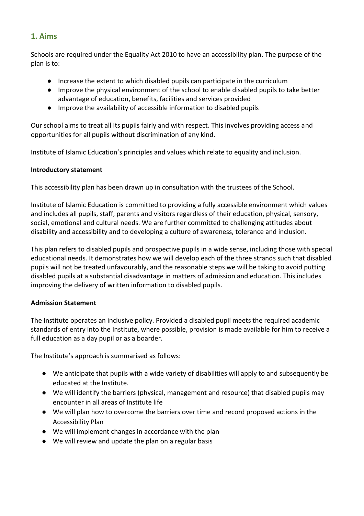### **1. Aims**

Schools are required under the Equality Act 2010 to have an accessibility plan. The purpose of the plan is to:

- Increase the extent to which disabled pupils can participate in the curriculum
- Improve the physical environment of the school to enable disabled pupils to take better advantage of education, benefits, facilities and services provided
- Improve the availability of accessible information to disabled pupils

Our school aims to treat all its pupils fairly and with respect. This involves providing access and opportunities for all pupils without discrimination of any kind.

Institute of Islamic Education's principles and values which relate to equality and inclusion.

#### **Introductory statement**

This accessibility plan has been drawn up in consultation with the trustees of the School.

Institute of Islamic Education is committed to providing a fully accessible environment which values and includes all pupils, staff, parents and visitors regardless of their education, physical, sensory, social, emotional and cultural needs. We are further committed to challenging attitudes about disability and accessibility and to developing a culture of awareness, tolerance and inclusion.

This plan refers to disabled pupils and prospective pupils in a wide sense, including those with special educational needs. It demonstrates how we will develop each of the three strands such that disabled pupils will not be treated unfavourably, and the reasonable steps we will be taking to avoid putting disabled pupils at a substantial disadvantage in matters of admission and education. This includes improving the delivery of written information to disabled pupils.

#### **Admission Statement**

The Institute operates an inclusive policy. Provided a disabled pupil meets the required academic standards of entry into the Institute, where possible, provision is made available for him to receive a full education as a day pupil or as a boarder.

The Institute's approach is summarised as follows:

- We anticipate that pupils with a wide variety of disabilities will apply to and subsequently be educated at the Institute.
- We will identify the barriers (physical, management and resource) that disabled pupils may encounter in all areas of Institute life
- We will plan how to overcome the barriers over time and record proposed actions in the Accessibility Plan
- We will implement changes in accordance with the plan
- We will review and update the plan on a regular basis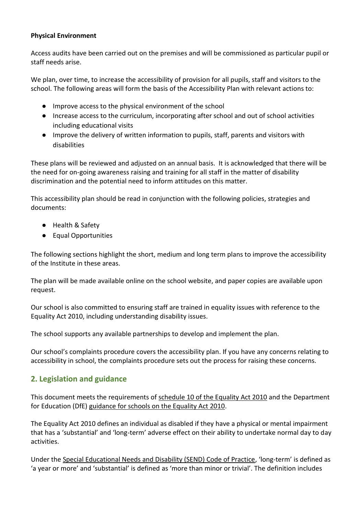#### **Physical Environment**

Access audits have been carried out on the premises and will be commissioned as particular pupil or staff needs arise.

We plan, over time, to increase the accessibility of provision for all pupils, staff and visitors to the school. The following areas will form the basis of the Accessibility Plan with relevant actions to:

- Improve access to the physical environment of the school
- Increase access to the curriculum, incorporating after school and out of school activities including educational visits
- Improve the delivery of written information to pupils, staff, parents and visitors with disabilities

These plans will be reviewed and adjusted on an annual basis. It is acknowledged that there will be the need for on-going awareness raising and training for all staff in the matter of disability discrimination and the potential need to inform attitudes on this matter.

This accessibility plan should be read in conjunction with the following policies, strategies and documents:

- Health & Safety
- Equal Opportunities

The following sections highlight the short, medium and long term plans to improve the accessibility of the Institute in these areas.

The plan will be made available online on the school website, and paper copies are available upon request.

Our school is also committed to ensuring staff are trained in equality issues with reference to the Equality Act 2010, including understanding disability issues.

The school supports any available partnerships to develop and implement the plan.

Our school's complaints procedure covers the accessibility plan. If you have any concerns relating to accessibility in school, the complaints procedure sets out the process for raising these concerns.

# <span id="page-3-0"></span>**2. Legislation and guidance**

This document meets the requirements of [schedule 10 of the Equality Act 2010](http://www.legislation.gov.uk/ukpga/2010/15/schedule/10) and the Department for Education (DfE) [guidance for schools on the Equality Act 2010.](https://www.gov.uk/government/publications/equality-act-2010-advice-for-schools)

The Equality Act 2010 defines an individual as disabled if they have a physical or mental impairment that has a 'substantial' and 'long-term' adverse effect on their ability to undertake normal day to day activities.

Under the [Special Educational Needs and Disability \(SEND\) Code of Practice](https://www.gov.uk/government/publications/send-code-of-practice-0-to-25), 'long-term' is defined as 'a year or more' and 'substantial' is defined as 'more than minor or trivial'. The definition includes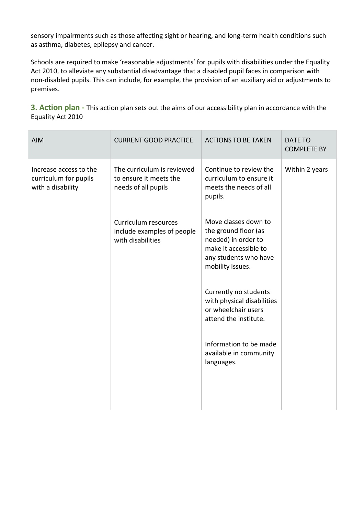sensory impairments such as those affecting sight or hearing, and long-term health conditions such as asthma, diabetes, epilepsy and cancer.

Schools are required to make 'reasonable adjustments' for pupils with disabilities under the Equality Act 2010, to alleviate any substantial disadvantage that a disabled pupil faces in comparison with non-disabled pupils. This can include, for example, the provision of an auxiliary aid or adjustments to premises.

**3. Action plan -** This action plan sets out the aims of our accessibility plan in accordance with the Equality Act 2010

| <b>AIM</b>                                                           | <b>CURRENT GOOD PRACTICE</b>                                                | <b>ACTIONS TO BE TAKEN</b>                                                                                                                | DATE TO<br><b>COMPLETE BY</b> |
|----------------------------------------------------------------------|-----------------------------------------------------------------------------|-------------------------------------------------------------------------------------------------------------------------------------------|-------------------------------|
| Increase access to the<br>curriculum for pupils<br>with a disability | The curriculum is reviewed<br>to ensure it meets the<br>needs of all pupils | Continue to review the<br>curriculum to ensure it<br>meets the needs of all<br>pupils.                                                    | Within 2 years                |
|                                                                      | Curriculum resources<br>include examples of people<br>with disabilities     | Move classes down to<br>the ground floor (as<br>needed) in order to<br>make it accessible to<br>any students who have<br>mobility issues. |                               |
|                                                                      |                                                                             | Currently no students<br>with physical disabilities<br>or wheelchair users<br>attend the institute.                                       |                               |
|                                                                      |                                                                             | Information to be made<br>available in community<br>languages.                                                                            |                               |
|                                                                      |                                                                             |                                                                                                                                           |                               |